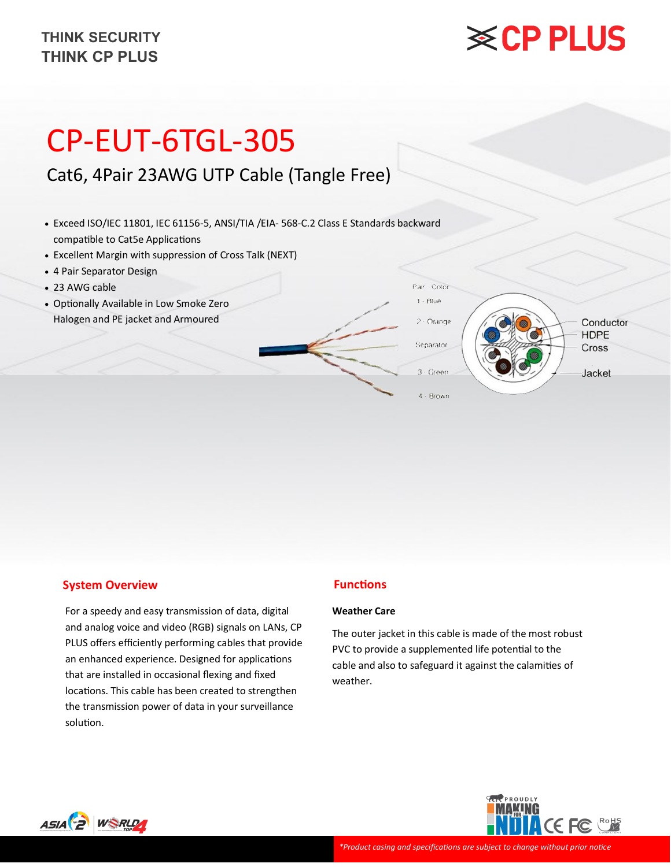# **※CP PLUS**

# CP-EUT-6TGL-305

# Cat6, 4Pair 23AWG UTP Cable (Tangle Free)

- Exceed ISO/IEC 11801, IEC 61156-5, ANSI/TIA /EIA- 568-C.2 Class E Standards backward compatible to Cat5e Applications
- Excellent Margin with suppression of Cross Talk (NEXT)
- 4 Pair Separator Design
- 23 AWG cable
- Optionally Available in Low Smoke Zero Halogen and PE jacket and Armoured



#### **System Overview**

For a speedy and easy transmission of data, digital and analog voice and video (RGB) signals on LANs, CP PLUS offers efficiently performing cables that provide an enhanced experience. Designed for applications that are installed in occasional flexing and fixed locations. This cable has been created to strengthen the transmission power of data in your surveillance solution.

#### **Functions**

#### **Weather Care**

The outer jacket in this cable is made of the most robust PVC to provide a supplemented life potential to the cable and also to safeguard it against the calamities of weather.



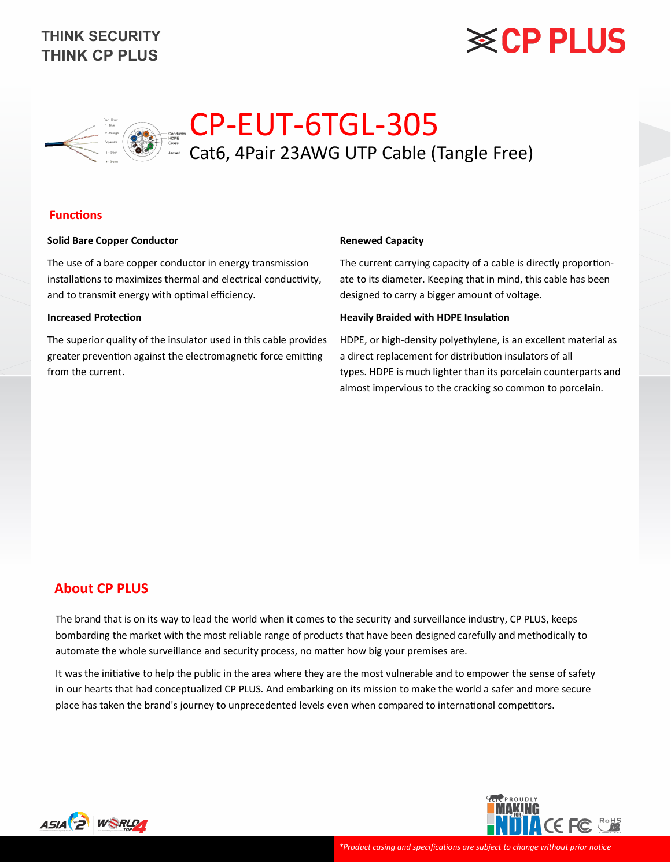# **※CP PLUS**



#### **Functions**

#### **Solid Bare Copper Conductor**

The use of a bare copper conductor in energy transmission installations to maximizes thermal and electrical conductivity, and to transmit energy with optimal efficiency.

#### **Increased Protection**

The superior quality of the insulator used in this cable provides greater prevention against the electromagnetic force emitting from the current.

#### **Renewed Capacity**

The current carrying capacity of a cable is directly proportionate to its diameter. Keeping that in mind, this cable has been designed to carry a bigger amount of voltage.

#### **Heavily Braided with HDPE Insulation**

HDPE, or high-density polyethylene, is an excellent material as a direct replacement for distribution insulators of all types. HDPE is much lighter than its porcelain counterparts and almost impervious to the cracking so common to porcelain.

### **About CP PLUS**

The brand that is on its way to lead the world when it comes to the security and surveillance industry, CP PLUS, keeps bombarding the market with the most reliable range of products that have been designed carefully and methodically to automate the whole surveillance and security process, no matter how big your premises are.

It was the initiative to help the public in the area where they are the most vulnerable and to empower the sense of safety in our hearts that had conceptualized CP PLUS. And embarking on its mission to make the world a safer and more secure place has taken the brand's journey to unprecedented levels even when compared to international competitors.



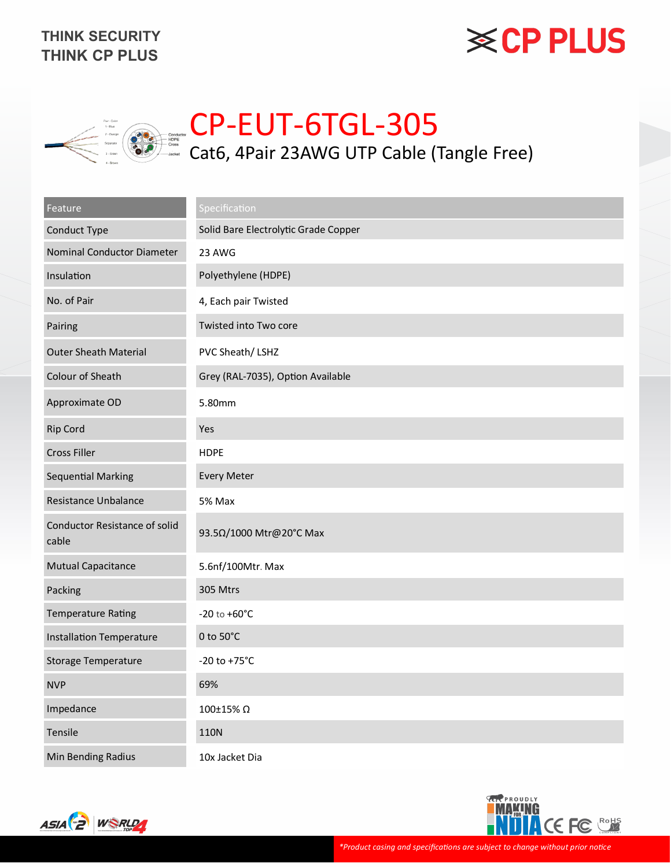# **※CP PLUS**



# CP-EUT-6TGL-305 Cat6, 4Pair 23AWG UTP Cable (Tangle Free)

| Feature                                       | Specification                        |  |  |  |  |
|-----------------------------------------------|--------------------------------------|--|--|--|--|
| Conduct Type                                  | Solid Bare Electrolytic Grade Copper |  |  |  |  |
| Nominal Conductor Diameter                    | 23 AWG                               |  |  |  |  |
| Insulation                                    | Polyethylene (HDPE)                  |  |  |  |  |
| No. of Pair                                   | 4, Each pair Twisted                 |  |  |  |  |
| Pairing                                       | Twisted into Two core                |  |  |  |  |
| <b>Outer Sheath Material</b>                  | PVC Sheath/LSHZ                      |  |  |  |  |
| Colour of Sheath                              | Grey (RAL-7035), Option Available    |  |  |  |  |
| Approximate OD                                | 5.80mm                               |  |  |  |  |
| <b>Rip Cord</b>                               | Yes                                  |  |  |  |  |
| <b>Cross Filler</b>                           | <b>HDPE</b>                          |  |  |  |  |
| <b>Sequential Marking</b>                     | <b>Every Meter</b>                   |  |  |  |  |
| Resistance Unbalance                          | 5% Max                               |  |  |  |  |
| <b>Conductor Resistance of solid</b><br>cable | 93.5Ω/1000 Mtr@20°C Max              |  |  |  |  |
| <b>Mutual Capacitance</b>                     | 5.6nf/100Mtr. Max                    |  |  |  |  |
| Packing                                       | 305 Mtrs                             |  |  |  |  |
| <b>Temperature Rating</b>                     | $-20$ to $+60^{\circ}$ C             |  |  |  |  |
| <b>Installation Temperature</b>               | 0 to 50°C                            |  |  |  |  |
| Storage Temperature                           | $-20$ to $+75^{\circ}$ C             |  |  |  |  |
| <b>NVP</b>                                    | 69%                                  |  |  |  |  |
| Impedance                                     | 100±15% Ω                            |  |  |  |  |
| Tensile                                       | <b>110N</b>                          |  |  |  |  |
| Min Bending Radius                            | 10x Jacket Dia                       |  |  |  |  |